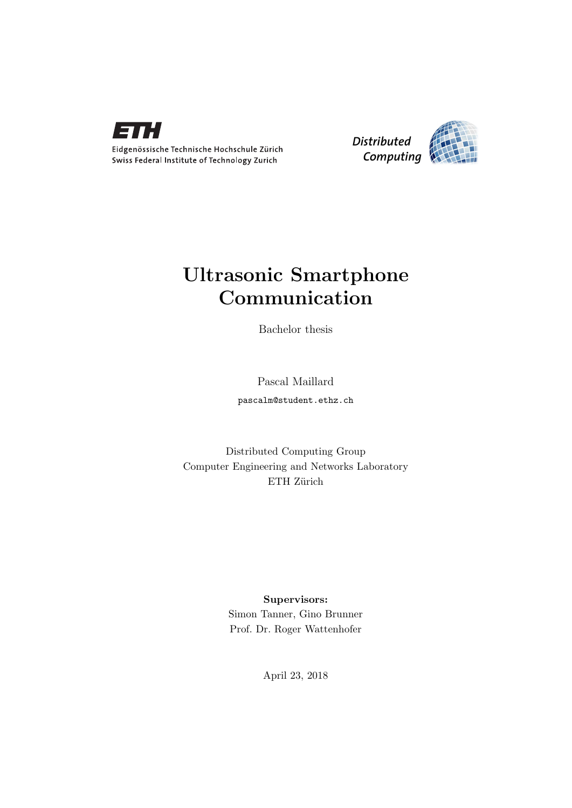



## Ultrasonic Smartphone Communication

Bachelor thesis

Pascal Maillard pascalm@student.ethz.ch

Distributed Computing Group Computer Engineering and Networks Laboratory ETH Zürich

#### Supervisors:

Simon Tanner, Gino Brunner Prof. Dr. Roger Wattenhofer

April 23, 2018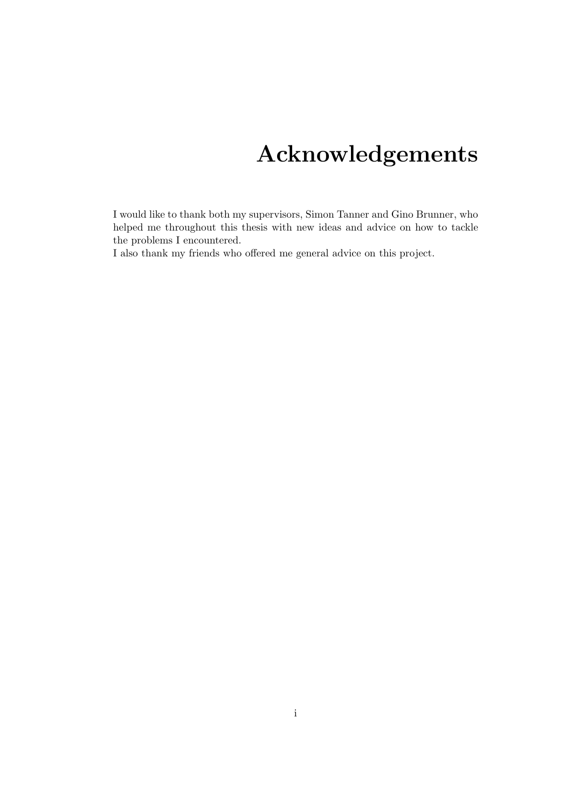# Acknowledgements

<span id="page-1-0"></span>I would like to thank both my supervisors, Simon Tanner and Gino Brunner, who helped me throughout this thesis with new ideas and advice on how to tackle the problems I encountered.

I also thank my friends who offered me general advice on this project.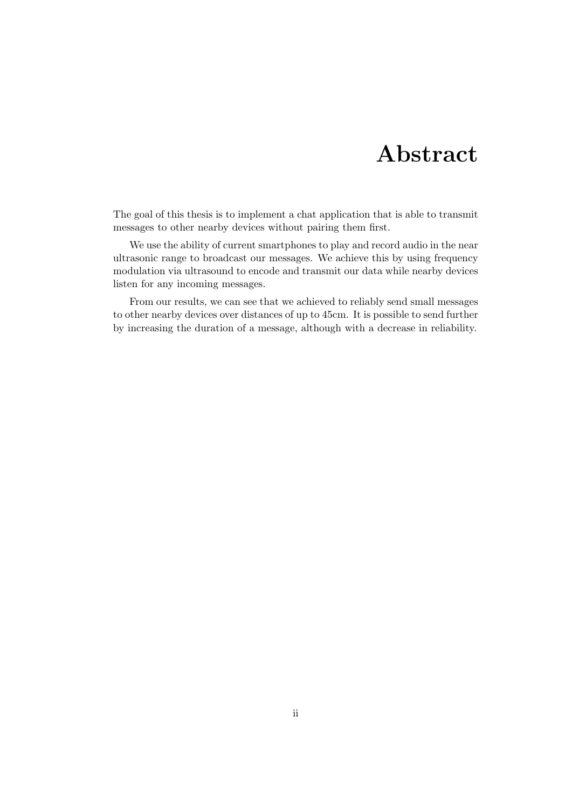## Abstract

<span id="page-2-0"></span>The goal of this thesis is to implement a chat application that is able to transmit messages to other nearby devices without pairing them first.

We use the ability of current smartphones to play and record audio in the near ultrasonic range to broadcast our messages. We achieve this by using frequency modulation via ultrasound to encode and transmit our data while nearby devices listen for any incoming messages.

From our results, we can see that we achieved to reliably send small messages to other nearby devices over distances of up to 45cm. It is possible to send further by increasing the duration of a message, although with a decrease in reliability.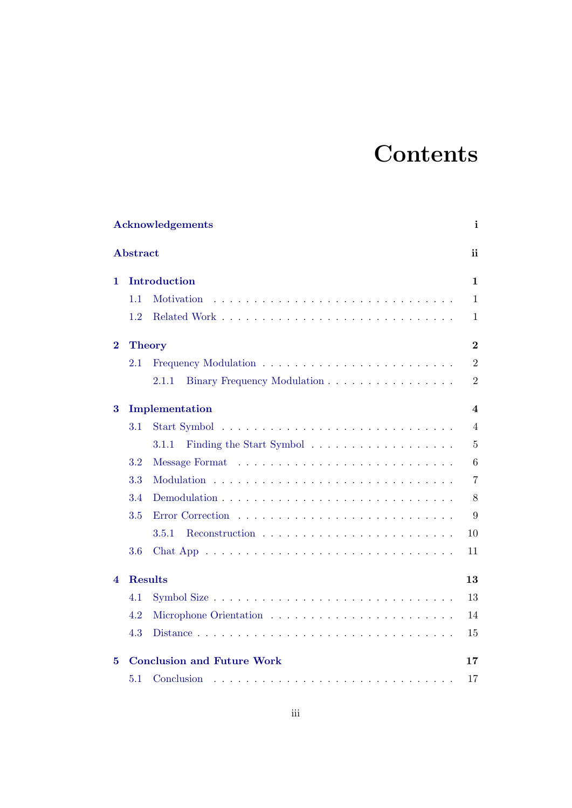# **Contents**

|          |                 | <b>Acknowledgements</b>                                                                               | i              |
|----------|-----------------|-------------------------------------------------------------------------------------------------------|----------------|
|          | <b>Abstract</b> |                                                                                                       | ii             |
| 1.       |                 | Introduction                                                                                          | $\mathbf{1}$   |
|          | 1.1             | Motivation                                                                                            | $\mathbf{1}$   |
|          | 1.2             |                                                                                                       | $\mathbf{1}$   |
| $\bf{2}$ |                 | <b>Theory</b>                                                                                         | $\overline{2}$ |
|          | 2.1             |                                                                                                       | $\overline{2}$ |
|          |                 | Binary Frequency Modulation<br>$2.1.1\,$                                                              | $\overline{2}$ |
| $\bf{3}$ |                 | Implementation                                                                                        | 4              |
|          | $3.1\,$         |                                                                                                       | $\overline{4}$ |
|          |                 | Finding the Start Symbol<br>3.1.1                                                                     | $\overline{5}$ |
|          | 3.2             |                                                                                                       | 6              |
|          | 3.3             |                                                                                                       | $\overline{7}$ |
|          | 3.4             |                                                                                                       | 8              |
|          | 3.5             |                                                                                                       | 9              |
|          |                 | 3.5.1                                                                                                 | $10\,$         |
|          | 3.6             |                                                                                                       | 11             |
| 4        |                 | <b>Results</b>                                                                                        | 13             |
|          | 4.1             |                                                                                                       | 13             |
|          | 4.2             |                                                                                                       | 14             |
|          | 4.3             |                                                                                                       | 15             |
| 5        |                 | <b>Conclusion and Future Work</b>                                                                     | 17             |
|          | 5.1             | Conclusion<br>والمتعاونة والمتعاونة والمتعاونة والمتعاونة والمتعاونة والمتعاونة والمتعاونة والمتعاونة | 17             |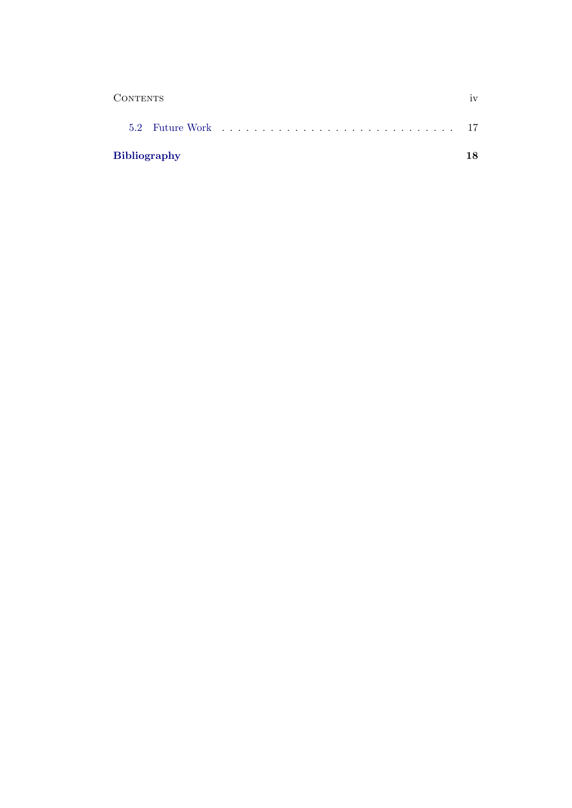| <b>CONTENTS</b>     | iv |
|---------------------|----|
|                     |    |
| <b>Bibliography</b> | 18 |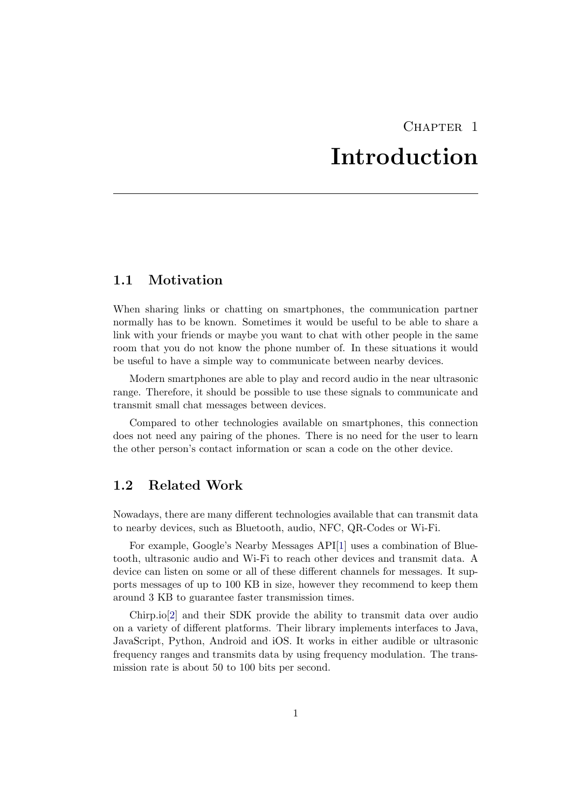## CHAPTER<sub>1</sub> Introduction

### <span id="page-5-1"></span><span id="page-5-0"></span>1.1 Motivation

When sharing links or chatting on smartphones, the communication partner normally has to be known. Sometimes it would be useful to be able to share a link with your friends or maybe you want to chat with other people in the same room that you do not know the phone number of. In these situations it would be useful to have a simple way to communicate between nearby devices.

Modern smartphones are able to play and record audio in the near ultrasonic range. Therefore, it should be possible to use these signals to communicate and transmit small chat messages between devices.

Compared to other technologies available on smartphones, this connection does not need any pairing of the phones. There is no need for the user to learn the other person's contact information or scan a code on the other device.

### <span id="page-5-2"></span>1.2 Related Work

Nowadays, there are many different technologies available that can transmit data to nearby devices, such as Bluetooth, audio, NFC, QR-Codes or Wi-Fi.

For example, Google's Nearby Messages API[\[1\]](#page-22-1) uses a combination of Bluetooth, ultrasonic audio and Wi-Fi to reach other devices and transmit data. A device can listen on some or all of these different channels for messages. It supports messages of up to 100 KB in size, however they recommend to keep them around 3 KB to guarantee faster transmission times.

Chirp.io[\[2\]](#page-22-2) and their SDK provide the ability to transmit data over audio on a variety of different platforms. Their library implements interfaces to Java, JavaScript, Python, Android and iOS. It works in either audible or ultrasonic frequency ranges and transmits data by using frequency modulation. The transmission rate is about 50 to 100 bits per second.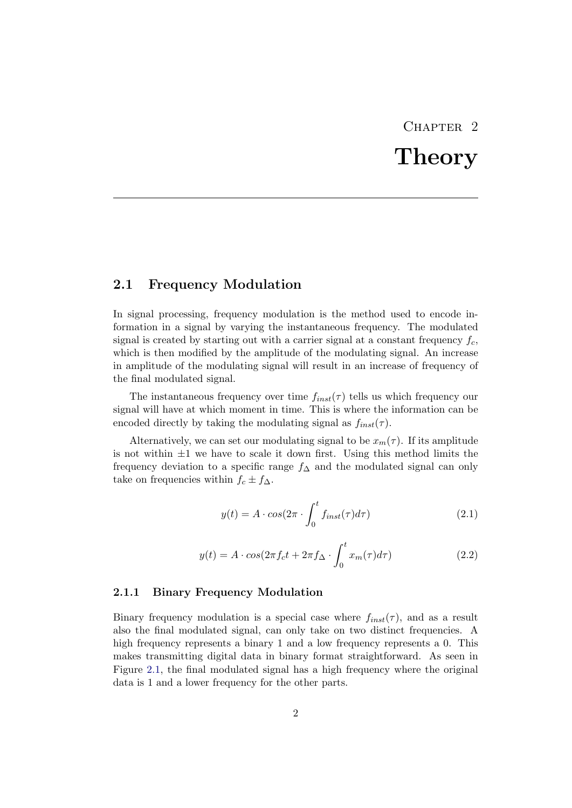# CHAPTER<sub>2</sub> Theory

#### <span id="page-6-1"></span><span id="page-6-0"></span>2.1 Frequency Modulation

In signal processing, frequency modulation is the method used to encode information in a signal by varying the instantaneous frequency. The modulated signal is created by starting out with a carrier signal at a constant frequency  $f_c$ , which is then modified by the amplitude of the modulating signal. An increase in amplitude of the modulating signal will result in an increase of frequency of the final modulated signal.

The instantaneous frequency over time  $f_{inst}(\tau)$  tells us which frequency our signal will have at which moment in time. This is where the information can be encoded directly by taking the modulating signal as  $f_{inst}(\tau)$ .

Alternatively, we can set our modulating signal to be  $x_m(\tau)$ . If its amplitude is not within  $\pm 1$  we have to scale it down first. Using this method limits the frequency deviation to a specific range  $f_\Delta$  and the modulated signal can only take on frequencies within  $f_c \pm f_{\Delta}$ .

<span id="page-6-3"></span>
$$
y(t) = A \cdot \cos(2\pi \cdot \int_0^t f_{inst}(\tau) d\tau)
$$
 (2.1)

$$
y(t) = A \cdot \cos(2\pi f_c t + 2\pi f_{\Delta} \cdot \int_0^t x_m(\tau) d\tau)
$$
\n(2.2)

#### <span id="page-6-2"></span>2.1.1 Binary Frequency Modulation

Binary frequency modulation is a special case where  $f_{inst}(\tau)$ , and as a result also the final modulated signal, can only take on two distinct frequencies. A high frequency represents a binary 1 and a low frequency represents a 0. This makes transmitting digital data in binary format straightforward. As seen in Figure [2.1,](#page-7-0) the final modulated signal has a high frequency where the original data is 1 and a lower frequency for the other parts.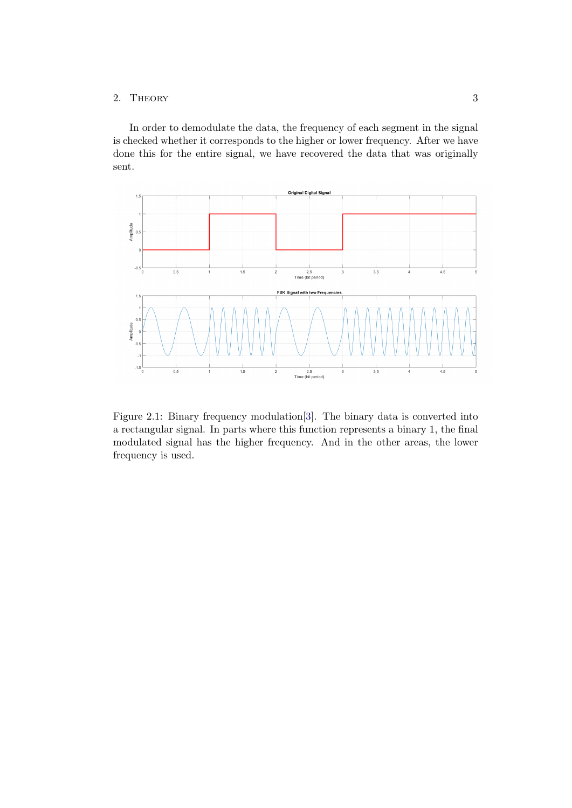#### 2. THEORY 3

In order to demodulate the data, the frequency of each segment in the signal is checked whether it corresponds to the higher or lower frequency. After we have done this for the entire signal, we have recovered the data that was originally sent.



<span id="page-7-0"></span>Figure 2.1: Binary frequency modulation[\[3\]](#page-22-3). The binary data is converted into a rectangular signal. In parts where this function represents a binary 1, the final modulated signal has the higher frequency. And in the other areas, the lower frequency is used.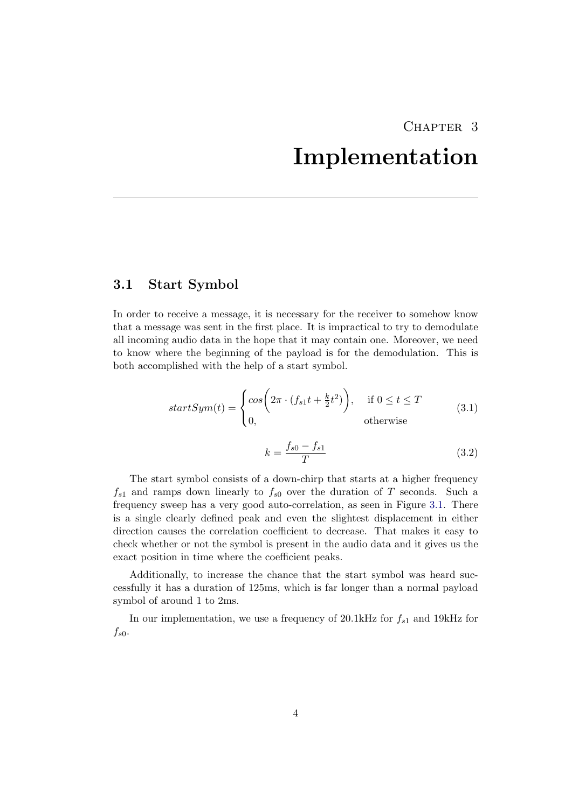## CHAPTER<sub>3</sub>

## Implementation

### <span id="page-8-1"></span><span id="page-8-0"></span>3.1 Start Symbol

In order to receive a message, it is necessary for the receiver to somehow know that a message was sent in the first place. It is impractical to try to demodulate all incoming audio data in the hope that it may contain one. Moreover, we need to know where the beginning of the payload is for the demodulation. This is both accomplished with the help of a start symbol.

$$
startSym(t) = \begin{cases} \cos\left(2\pi \cdot (f_{s1}t + \frac{k}{2}t^2)\right), & \text{if } 0 \le t \le T\\ 0, & \text{otherwise} \end{cases}
$$
(3.1)

$$
k = \frac{f_{s0} - f_{s1}}{T}
$$
 (3.2)

The start symbol consists of a down-chirp that starts at a higher frequency  $f_{s1}$  and ramps down linearly to  $f_{s0}$  over the duration of T seconds. Such a frequency sweep has a very good auto-correlation, as seen in Figure [3.1.](#page-9-1) There is a single clearly defined peak and even the slightest displacement in either direction causes the correlation coefficient to decrease. That makes it easy to check whether or not the symbol is present in the audio data and it gives us the exact position in time where the coefficient peaks.

Additionally, to increase the chance that the start symbol was heard successfully it has a duration of 125ms, which is far longer than a normal payload symbol of around 1 to 2ms.

In our implementation, we use a frequency of 20.1kHz for  $f_{s1}$  and 19kHz for  $f_{s0}$ .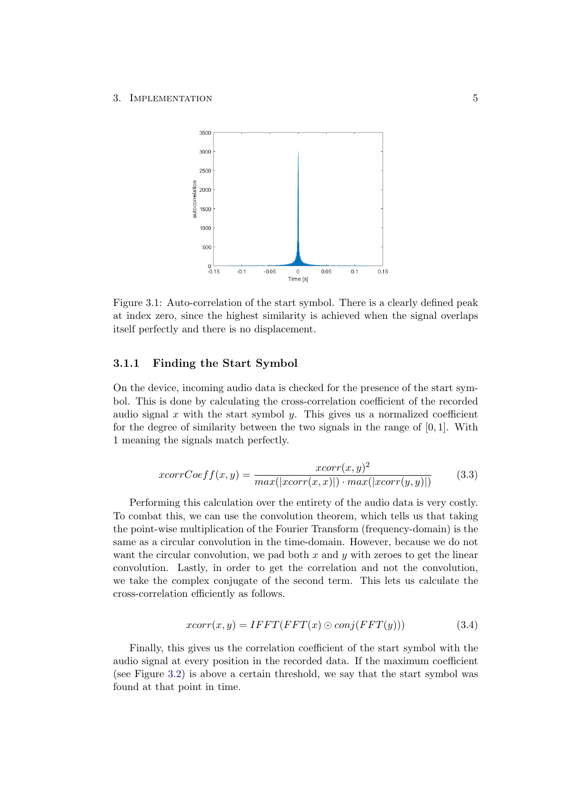<span id="page-9-1"></span>

Figure 3.1: Auto-correlation of the start symbol. There is a clearly defined peak at index zero, since the highest similarity is achieved when the signal overlaps itself perfectly and there is no displacement.

#### <span id="page-9-0"></span>3.1.1 Finding the Start Symbol

On the device, incoming audio data is checked for the presence of the start symbol. This is done by calculating the cross-correlation coefficient of the recorded audio signal  $x$  with the start symbol  $y$ . This gives us a normalized coefficient for the degree of similarity between the two signals in the range of  $[0, 1]$ . With 1 meaning the signals match perfectly.

$$
xcorrCoeff(x,y) = \frac{xcorr(x,y)^2}{max(|xcorr(x,x)|) \cdot max(|xcorr(y,y)|)}
$$
(3.3)

Performing this calculation over the entirety of the audio data is very costly. To combat this, we can use the convolution theorem, which tells us that taking the point-wise multiplication of the Fourier Transform (frequency-domain) is the same as a circular convolution in the time-domain. However, because we do not want the circular convolution, we pad both  $x$  and  $y$  with zeroes to get the linear convolution. Lastly, in order to get the correlation and not the convolution, we take the complex conjugate of the second term. This lets us calculate the cross-correlation efficiently as follows.

$$
xcorr(x,y) = IFFT(FFT(x) \odot conj(FFT(y)))
$$
\n(3.4)

Finally, this gives us the correlation coefficient of the start symbol with the audio signal at every position in the recorded data. If the maximum coefficient (see Figure [3.2\)](#page-10-1) is above a certain threshold, we say that the start symbol was found at that point in time.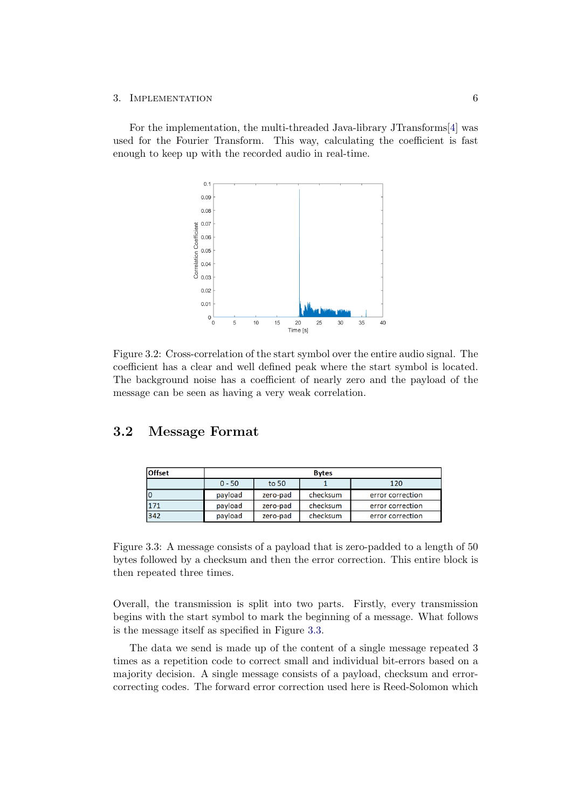For the implementation, the multi-threaded Java-library JTransforms[\[4\]](#page-22-4) was used for the Fourier Transform. This way, calculating the coefficient is fast enough to keep up with the recorded audio in real-time.

<span id="page-10-1"></span>

Figure 3.2: Cross-correlation of the start symbol over the entire audio signal. The coefficient has a clear and well defined peak where the start symbol is located. The background noise has a coefficient of nearly zero and the payload of the message can be seen as having a very weak correlation.

#### <span id="page-10-0"></span>3.2 Message Format

<span id="page-10-2"></span>

| <b>Offset</b> | <b>Bytes</b> |          |          |                  |  |  |
|---------------|--------------|----------|----------|------------------|--|--|
|               | $0 - 50$     | to 50    |          | 120              |  |  |
|               | payload      | zero-pad | checksum | error correction |  |  |
| 171           | payload      | zero-pad | checksum | error correction |  |  |
| 342           | payload      | zero-pad | checksum | error correction |  |  |

Figure 3.3: A message consists of a payload that is zero-padded to a length of 50 bytes followed by a checksum and then the error correction. This entire block is then repeated three times.

Overall, the transmission is split into two parts. Firstly, every transmission begins with the start symbol to mark the beginning of a message. What follows is the message itself as specified in Figure [3.3.](#page-10-2)

The data we send is made up of the content of a single message repeated 3 times as a repetition code to correct small and individual bit-errors based on a majority decision. A single message consists of a payload, checksum and errorcorrecting codes. The forward error correction used here is Reed-Solomon which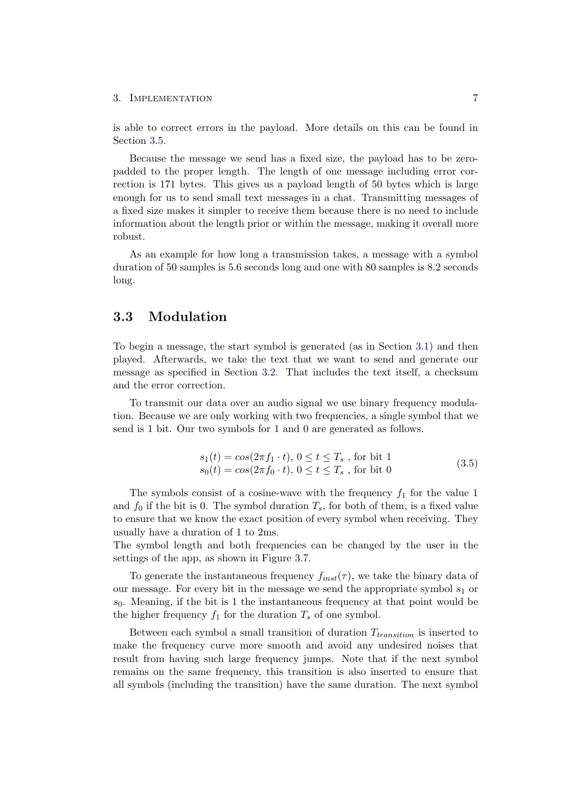is able to correct errors in the payload. More details on this can be found in Section [3.5.](#page-13-0)

Because the message we send has a fixed size, the payload has to be zeropadded to the proper length. The length of one message including error correction is 171 bytes. This gives us a payload length of 50 bytes which is large enough for us to send small text messages in a chat. Transmitting messages of a fixed size makes it simpler to receive them because there is no need to include information about the length prior or within the message, making it overall more robust.

As an example for how long a transmission takes, a message with a symbol duration of 50 samples is 5.6 seconds long and one with 80 samples is 8.2 seconds long.

#### <span id="page-11-0"></span>3.3 Modulation

To begin a message, the start symbol is generated (as in Section [3.1\)](#page-8-1) and then played. Afterwards, we take the text that we want to send and generate our message as specified in Section [3.2.](#page-10-0) That includes the text itself, a checksum and the error correction.

To transmit our data over an audio signal we use binary frequency modulation. Because we are only working with two frequencies, a single symbol that we send is 1 bit. Our two symbols for 1 and 0 are generated as follows.

<span id="page-11-1"></span>
$$
s_1(t) = \cos(2\pi f_1 \cdot t), 0 \le t \le T_s \text{, for bit 1}s_0(t) = \cos(2\pi f_0 \cdot t), 0 \le t \le T_s \text{, for bit 0}
$$
\n(3.5)

The symbols consist of a cosine-wave with the frequency  $f_1$  for the value 1 and  $f_0$  if the bit is 0. The symbol duration  $T_s$ , for both of them, is a fixed value to ensure that we know the exact position of every symbol when receiving. They usually have a duration of 1 to 2ms.

The symbol length and both frequencies can be changed by the user in the settings of the app, as shown in Figure [3.7.](#page-16-0)

To generate the instantaneous frequency  $f_{inst}(\tau)$ , we take the binary data of our message. For every bit in the message we send the appropriate symbol  $s<sub>1</sub>$  or  $s_0$ . Meaning, if the bit is 1 the instantaneous frequency at that point would be the higher frequency  $f_1$  for the duration  $T_s$  of one symbol.

Between each symbol a small transition of duration  $T_{transition}$  is inserted to make the frequency curve more smooth and avoid any undesired noises that result from having such large frequency jumps. Note that if the next symbol remains on the same frequency, this transition is also inserted to ensure that all symbols (including the transition) have the same duration. The next symbol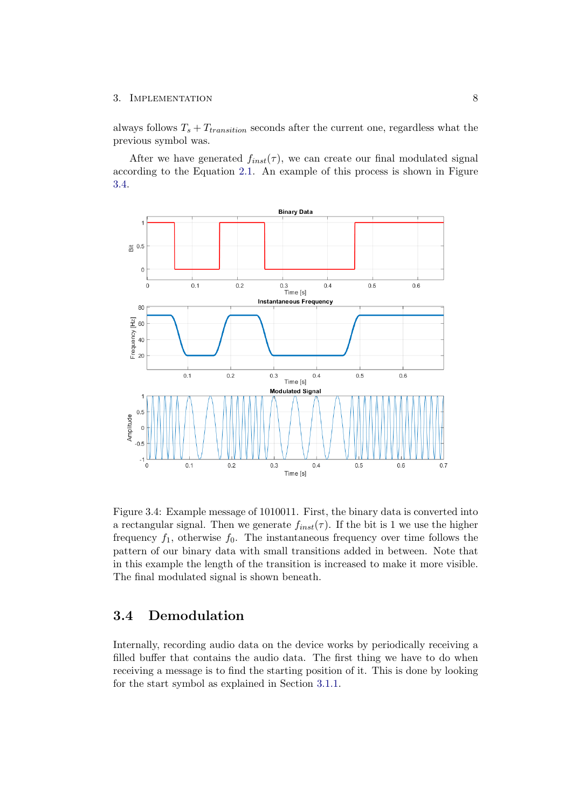always follows  $T_s + T_{transition}$  seconds after the current one, regardless what the previous symbol was.

After we have generated  $f_{inst}(\tau)$ , we can create our final modulated signal according to the Equation [2.1.](#page-6-3) An example of this process is shown in Figure [3.4.](#page-12-1)



<span id="page-12-1"></span>Figure 3.4: Example message of 1010011. First, the binary data is converted into a rectangular signal. Then we generate  $f_{inst}(\tau)$ . If the bit is 1 we use the higher frequency  $f_1$ , otherwise  $f_0$ . The instantaneous frequency over time follows the pattern of our binary data with small transitions added in between. Note that in this example the length of the transition is increased to make it more visible. The final modulated signal is shown beneath.

## <span id="page-12-0"></span>3.4 Demodulation

Internally, recording audio data on the device works by periodically receiving a filled buffer that contains the audio data. The first thing we have to do when receiving a message is to find the starting position of it. This is done by looking for the start symbol as explained in Section [3.1.1.](#page-9-0)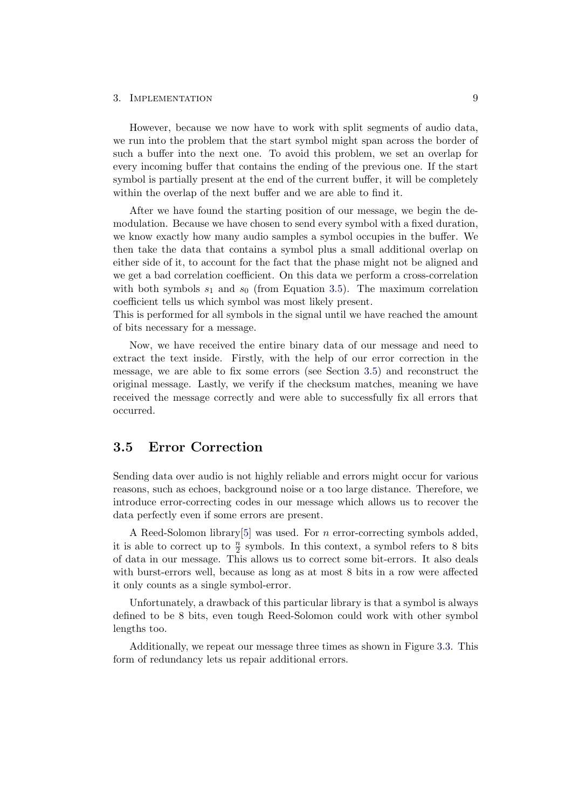However, because we now have to work with split segments of audio data, we run into the problem that the start symbol might span across the border of such a buffer into the next one. To avoid this problem, we set an overlap for every incoming buffer that contains the ending of the previous one. If the start symbol is partially present at the end of the current buffer, it will be completely within the overlap of the next buffer and we are able to find it.

After we have found the starting position of our message, we begin the demodulation. Because we have chosen to send every symbol with a fixed duration, we know exactly how many audio samples a symbol occupies in the buffer. We then take the data that contains a symbol plus a small additional overlap on either side of it, to account for the fact that the phase might not be aligned and we get a bad correlation coefficient. On this data we perform a cross-correlation with both symbols  $s_1$  and  $s_0$  (from Equation [3.5\)](#page-11-1). The maximum correlation coefficient tells us which symbol was most likely present.

This is performed for all symbols in the signal until we have reached the amount of bits necessary for a message.

Now, we have received the entire binary data of our message and need to extract the text inside. Firstly, with the help of our error correction in the message, we are able to fix some errors (see Section [3.5\)](#page-13-0) and reconstruct the original message. Lastly, we verify if the checksum matches, meaning we have received the message correctly and were able to successfully fix all errors that occurred.

### <span id="page-13-0"></span>3.5 Error Correction

Sending data over audio is not highly reliable and errors might occur for various reasons, such as echoes, background noise or a too large distance. Therefore, we introduce error-correcting codes in our message which allows us to recover the data perfectly even if some errors are present.

A Reed-Solomon library[\[5\]](#page-22-5) was used. For n error-correcting symbols added, it is able to correct up to  $\frac{n}{2}$  symbols. In this context, a symbol refers to 8 bits of data in our message. This allows us to correct some bit-errors. It also deals with burst-errors well, because as long as at most 8 bits in a row were affected it only counts as a single symbol-error.

Unfortunately, a drawback of this particular library is that a symbol is always defined to be 8 bits, even tough Reed-Solomon could work with other symbol lengths too.

Additionally, we repeat our message three times as shown in Figure [3.3.](#page-10-2) This form of redundancy lets us repair additional errors.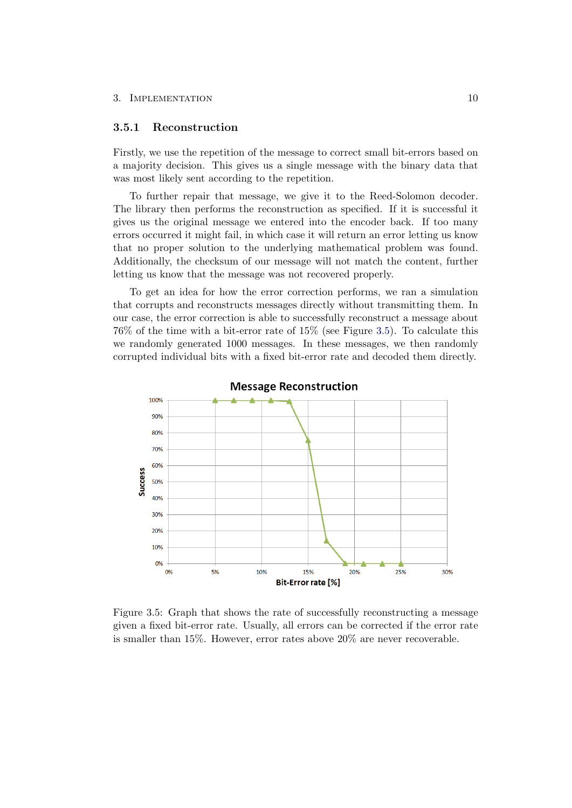#### <span id="page-14-0"></span>3.5.1 Reconstruction

Firstly, we use the repetition of the message to correct small bit-errors based on a majority decision. This gives us a single message with the binary data that was most likely sent according to the repetition.

To further repair that message, we give it to the Reed-Solomon decoder. The library then performs the reconstruction as specified. If it is successful it gives us the original message we entered into the encoder back. If too many errors occurred it might fail, in which case it will return an error letting us know that no proper solution to the underlying mathematical problem was found. Additionally, the checksum of our message will not match the content, further letting us know that the message was not recovered properly.

To get an idea for how the error correction performs, we ran a simulation that corrupts and reconstructs messages directly without transmitting them. In our case, the error correction is able to successfully reconstruct a message about 76% of the time with a bit-error rate of 15% (see Figure [3.5\)](#page-14-1). To calculate this we randomly generated 1000 messages. In these messages, we then randomly corrupted individual bits with a fixed bit-error rate and decoded them directly.



<span id="page-14-1"></span>Figure 3.5: Graph that shows the rate of successfully reconstructing a message given a fixed bit-error rate. Usually, all errors can be corrected if the error rate is smaller than 15%. However, error rates above 20% are never recoverable.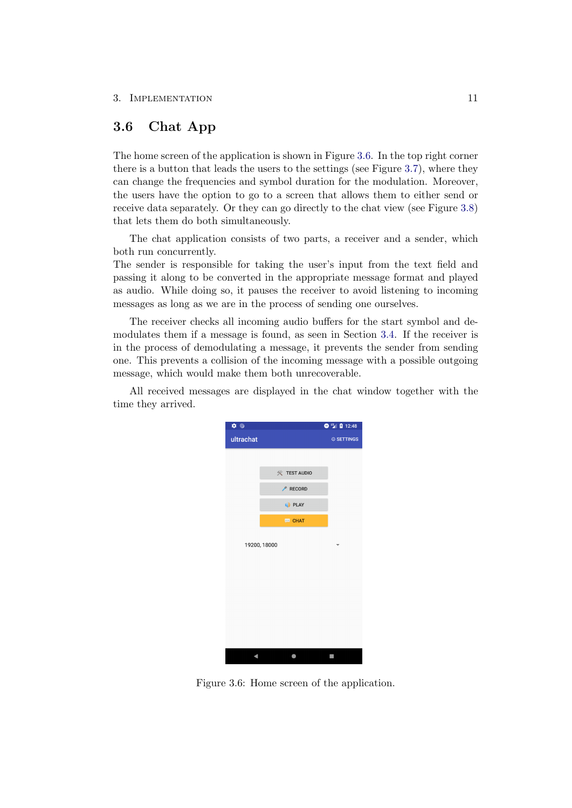## <span id="page-15-0"></span>3.6 Chat App

The home screen of the application is shown in Figure [3.6.](#page-15-1) In the top right corner there is a button that leads the users to the settings (see Figure [3.7\)](#page-16-0), where they can change the frequencies and symbol duration for the modulation. Moreover, the users have the option to go to a screen that allows them to either send or receive data separately. Or they can go directly to the chat view (see Figure [3.8\)](#page-16-1) that lets them do both simultaneously.

The chat application consists of two parts, a receiver and a sender, which both run concurrently.

The sender is responsible for taking the user's input from the text field and passing it along to be converted in the appropriate message format and played as audio. While doing so, it pauses the receiver to avoid listening to incoming messages as long as we are in the process of sending one ourselves.

The receiver checks all incoming audio buffers for the start symbol and demodulates them if a message is found, as seen in Section [3.4.](#page-12-0) If the receiver is in the process of demodulating a message, it prevents the sender from sending one. This prevents a collision of the incoming message with a possible outgoing message, which would make them both unrecoverable.

All received messages are displayed in the chat window together with the time they arrived.

<span id="page-15-1"></span>

Figure 3.6: Home screen of the application.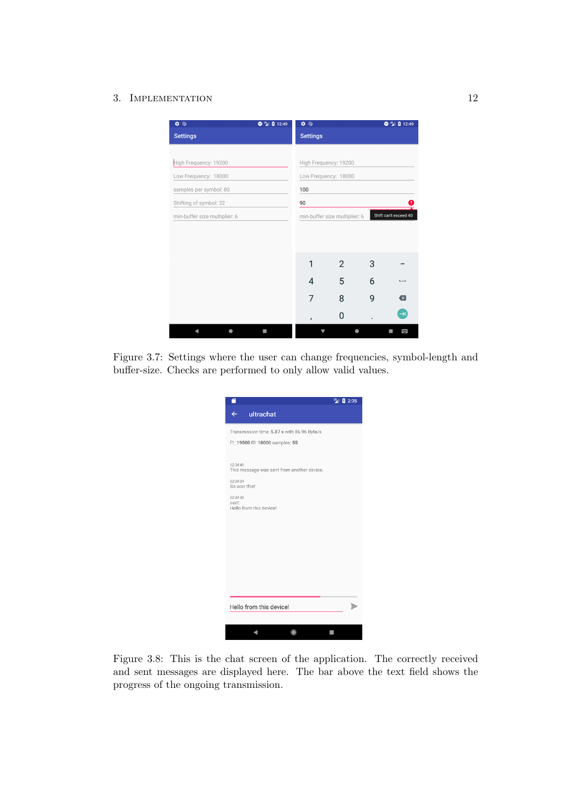| $\ddot{\mathbf{Q}}$ $\ddot{\mathbf{Q}}$ | $Q_{12}$ 12:49 | $\ddot{\bullet}$ |                               |   | $9^{\frac{11}{2}}$ 12:49 |
|-----------------------------------------|----------------|------------------|-------------------------------|---|--------------------------|
| <b>Settings</b>                         |                | <b>Settings</b>  |                               |   |                          |
|                                         |                |                  |                               |   |                          |
| High Frequency: 19200                   |                |                  | High Frequency: 19200         |   |                          |
| Low Frequency: 18000                    |                |                  | Low Frequency: 18000          |   |                          |
| samples per symbol: 80                  |                | 100              |                               |   |                          |
| Shifting of symbol: 32                  |                | 90               |                               |   | O                        |
| min-buffer size multiplier: 6           |                |                  | min-buffer size multiplier: 6 |   | Shift can't exceed 40    |
|                                         |                |                  |                               |   |                          |
|                                         |                |                  |                               |   |                          |
|                                         |                | 1                | 2                             | 3 |                          |
|                                         |                | 4                | 5                             | 6 |                          |
|                                         |                | 7                | 8                             | 9 | $\overline{\mathbf{x}}$  |
|                                         |                | ,                | O                             |   | $\rightarrow$            |
|                                         | I              |                  |                               |   | 冒                        |

Figure 3.7: Settings where the user can change frequencies, symbol-length and buffer-size. Checks are performed to only allow valid values.

<span id="page-16-0"></span>

|                                                        | UE<br>2:35 |
|--------------------------------------------------------|------------|
| ultrachat<br>$\leftarrow$                              |            |
| Transmission time: 5.87 s with 86.96 Byte/s            |            |
| f1: 19500 f0: 18000 samples: 55                        |            |
|                                                        |            |
| 02:34:46<br>This message was sent from another device. |            |
| 02:34:54                                               |            |
| So was this!                                           |            |
| 02:34:56<br>sent:<br>Hello from this device!           |            |
|                                                        |            |
|                                                        |            |
|                                                        |            |
|                                                        |            |
|                                                        |            |
|                                                        |            |
|                                                        |            |
|                                                        |            |
| Hello from this device!                                |            |
|                                                        |            |
|                                                        |            |
|                                                        |            |

<span id="page-16-1"></span>Figure 3.8: This is the chat screen of the application. The correctly received and sent messages are displayed here. The bar above the text field shows the progress of the ongoing transmission.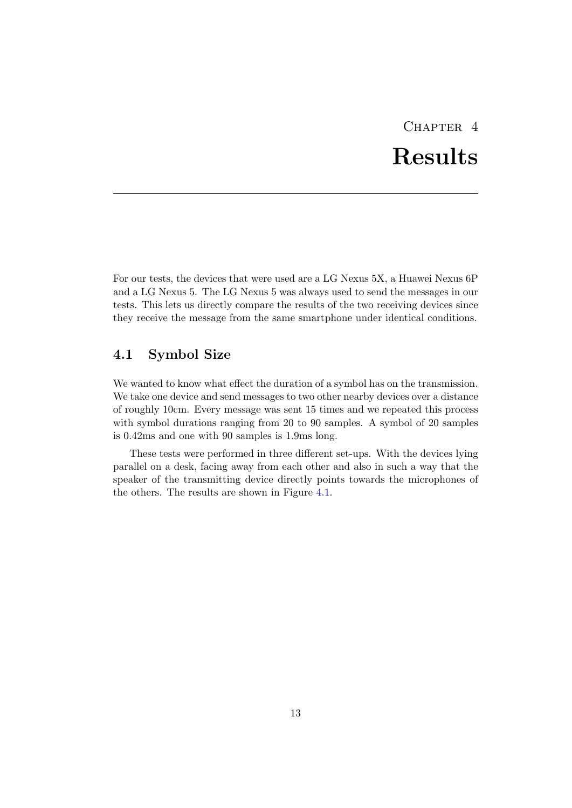# CHAPTER<sub>4</sub> Results

<span id="page-17-0"></span>For our tests, the devices that were used are a LG Nexus 5X, a Huawei Nexus 6P and a LG Nexus 5. The LG Nexus 5 was always used to send the messages in our tests. This lets us directly compare the results of the two receiving devices since they receive the message from the same smartphone under identical conditions.

## <span id="page-17-1"></span>4.1 Symbol Size

We wanted to know what effect the duration of a symbol has on the transmission. We take one device and send messages to two other nearby devices over a distance of roughly 10cm. Every message was sent 15 times and we repeated this process with symbol durations ranging from 20 to 90 samples. A symbol of 20 samples is 0.42ms and one with 90 samples is 1.9ms long.

These tests were performed in three different set-ups. With the devices lying parallel on a desk, facing away from each other and also in such a way that the speaker of the transmitting device directly points towards the microphones of the others. The results are shown in Figure [4.1.](#page-18-1)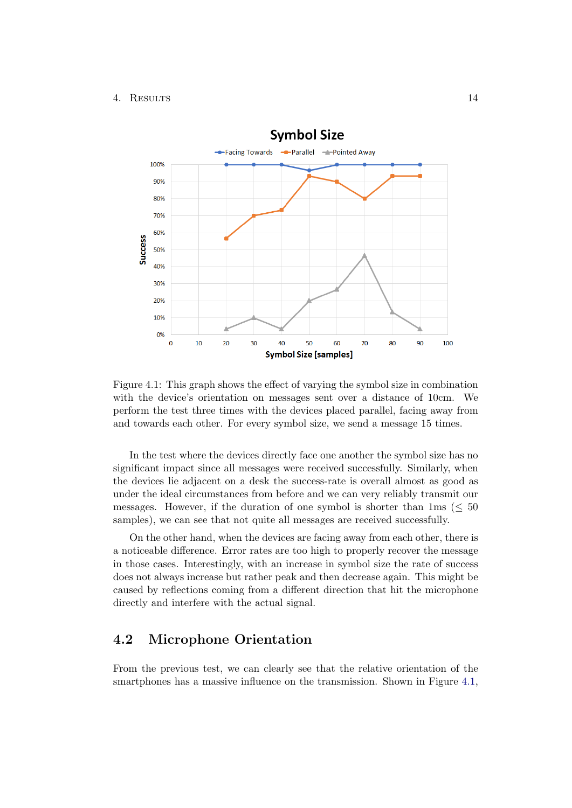### 4. Results 14



<span id="page-18-1"></span>Figure 4.1: This graph shows the effect of varying the symbol size in combination with the device's orientation on messages sent over a distance of 10cm. We perform the test three times with the devices placed parallel, facing away from and towards each other. For every symbol size, we send a message 15 times.

In the test where the devices directly face one another the symbol size has no significant impact since all messages were received successfully. Similarly, when the devices lie adjacent on a desk the success-rate is overall almost as good as under the ideal circumstances from before and we can very reliably transmit our messages. However, if the duration of one symbol is shorter than  $1\text{ms } (\leq 50$ samples), we can see that not quite all messages are received successfully.

On the other hand, when the devices are facing away from each other, there is a noticeable difference. Error rates are too high to properly recover the message in those cases. Interestingly, with an increase in symbol size the rate of success does not always increase but rather peak and then decrease again. This might be caused by reflections coming from a different direction that hit the microphone directly and interfere with the actual signal.

## <span id="page-18-0"></span>4.2 Microphone Orientation

From the previous test, we can clearly see that the relative orientation of the smartphones has a massive influence on the transmission. Shown in Figure [4.1,](#page-18-1)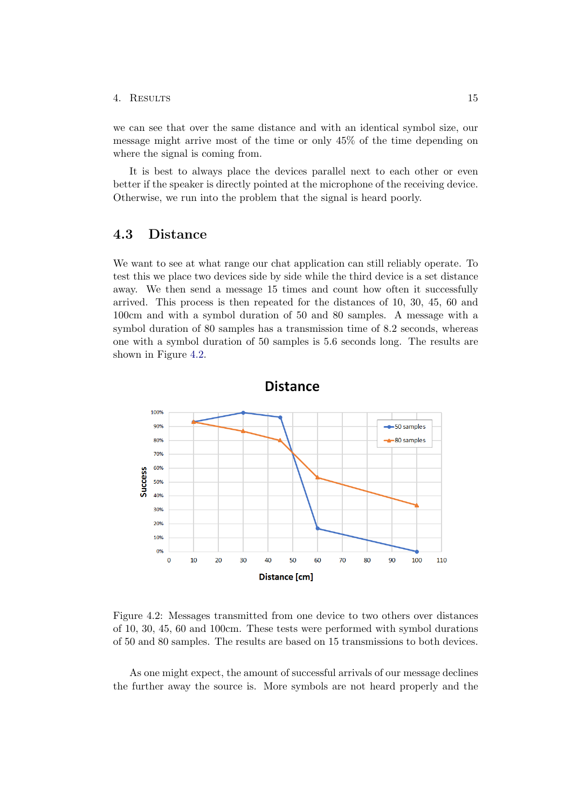#### 4. Results 15

we can see that over the same distance and with an identical symbol size, our message might arrive most of the time or only 45% of the time depending on where the signal is coming from.

It is best to always place the devices parallel next to each other or even better if the speaker is directly pointed at the microphone of the receiving device. Otherwise, we run into the problem that the signal is heard poorly.

#### <span id="page-19-0"></span>4.3 Distance

We want to see at what range our chat application can still reliably operate. To test this we place two devices side by side while the third device is a set distance away. We then send a message 15 times and count how often it successfully arrived. This process is then repeated for the distances of 10, 30, 45, 60 and 100cm and with a symbol duration of 50 and 80 samples. A message with a symbol duration of 80 samples has a transmission time of 8.2 seconds, whereas one with a symbol duration of 50 samples is 5.6 seconds long. The results are shown in Figure [4.2.](#page-19-1)



<span id="page-19-1"></span>Figure 4.2: Messages transmitted from one device to two others over distances of 10, 30, 45, 60 and 100cm. These tests were performed with symbol durations of 50 and 80 samples. The results are based on 15 transmissions to both devices.

As one might expect, the amount of successful arrivals of our message declines the further away the source is. More symbols are not heard properly and the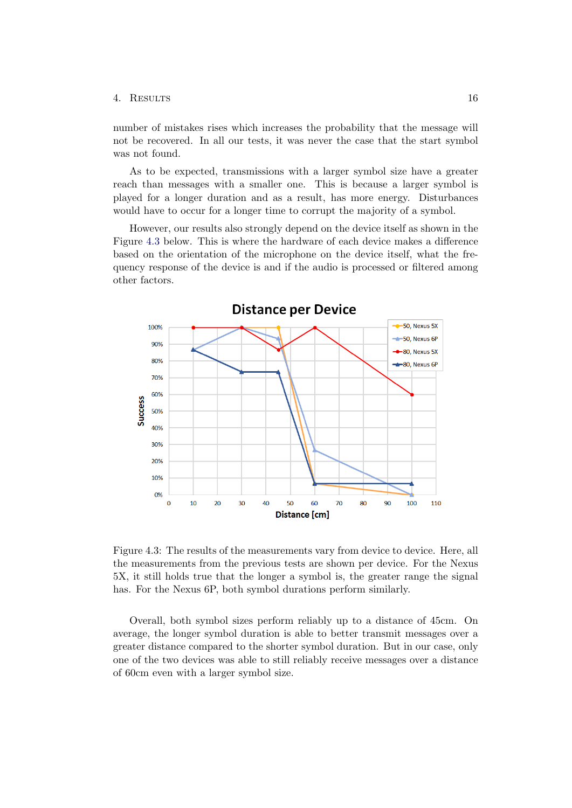#### 4. Results 16

number of mistakes rises which increases the probability that the message will not be recovered. In all our tests, it was never the case that the start symbol was not found.

As to be expected, transmissions with a larger symbol size have a greater reach than messages with a smaller one. This is because a larger symbol is played for a longer duration and as a result, has more energy. Disturbances would have to occur for a longer time to corrupt the majority of a symbol.

However, our results also strongly depend on the device itself as shown in the Figure [4.3](#page-20-0) below. This is where the hardware of each device makes a difference based on the orientation of the microphone on the device itself, what the frequency response of the device is and if the audio is processed or filtered among other factors.



<span id="page-20-0"></span>Figure 4.3: The results of the measurements vary from device to device. Here, all the measurements from the previous tests are shown per device. For the Nexus 5X, it still holds true that the longer a symbol is, the greater range the signal has. For the Nexus 6P, both symbol durations perform similarly.

Overall, both symbol sizes perform reliably up to a distance of 45cm. On average, the longer symbol duration is able to better transmit messages over a greater distance compared to the shorter symbol duration. But in our case, only one of the two devices was able to still reliably receive messages over a distance of 60cm even with a larger symbol size.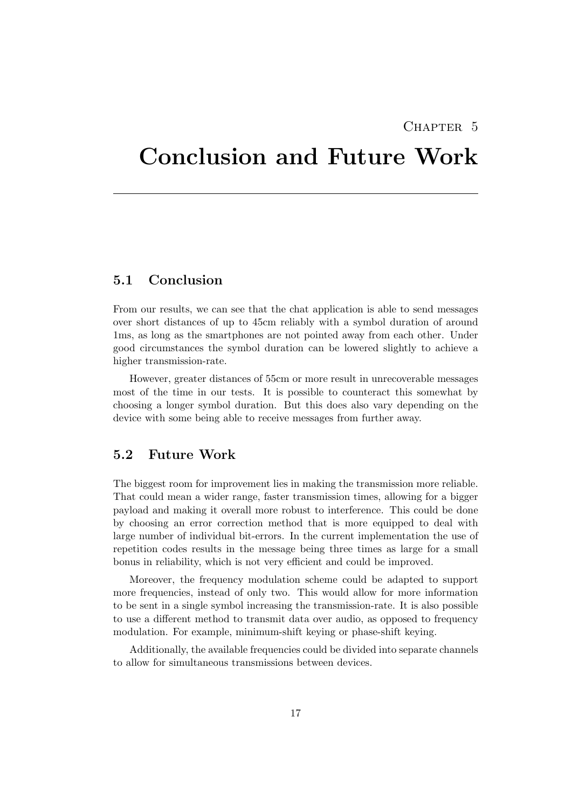## CHAPTER 5

## <span id="page-21-0"></span>Conclusion and Future Work

## <span id="page-21-1"></span>5.1 Conclusion

From our results, we can see that the chat application is able to send messages over short distances of up to 45cm reliably with a symbol duration of around 1ms, as long as the smartphones are not pointed away from each other. Under good circumstances the symbol duration can be lowered slightly to achieve a higher transmission-rate.

However, greater distances of 55cm or more result in unrecoverable messages most of the time in our tests. It is possible to counteract this somewhat by choosing a longer symbol duration. But this does also vary depending on the device with some being able to receive messages from further away.

#### <span id="page-21-2"></span>5.2 Future Work

The biggest room for improvement lies in making the transmission more reliable. That could mean a wider range, faster transmission times, allowing for a bigger payload and making it overall more robust to interference. This could be done by choosing an error correction method that is more equipped to deal with large number of individual bit-errors. In the current implementation the use of repetition codes results in the message being three times as large for a small bonus in reliability, which is not very efficient and could be improved.

Moreover, the frequency modulation scheme could be adapted to support more frequencies, instead of only two. This would allow for more information to be sent in a single symbol increasing the transmission-rate. It is also possible to use a different method to transmit data over audio, as opposed to frequency modulation. For example, minimum-shift keying or phase-shift keying.

Additionally, the available frequencies could be divided into separate channels to allow for simultaneous transmissions between devices.